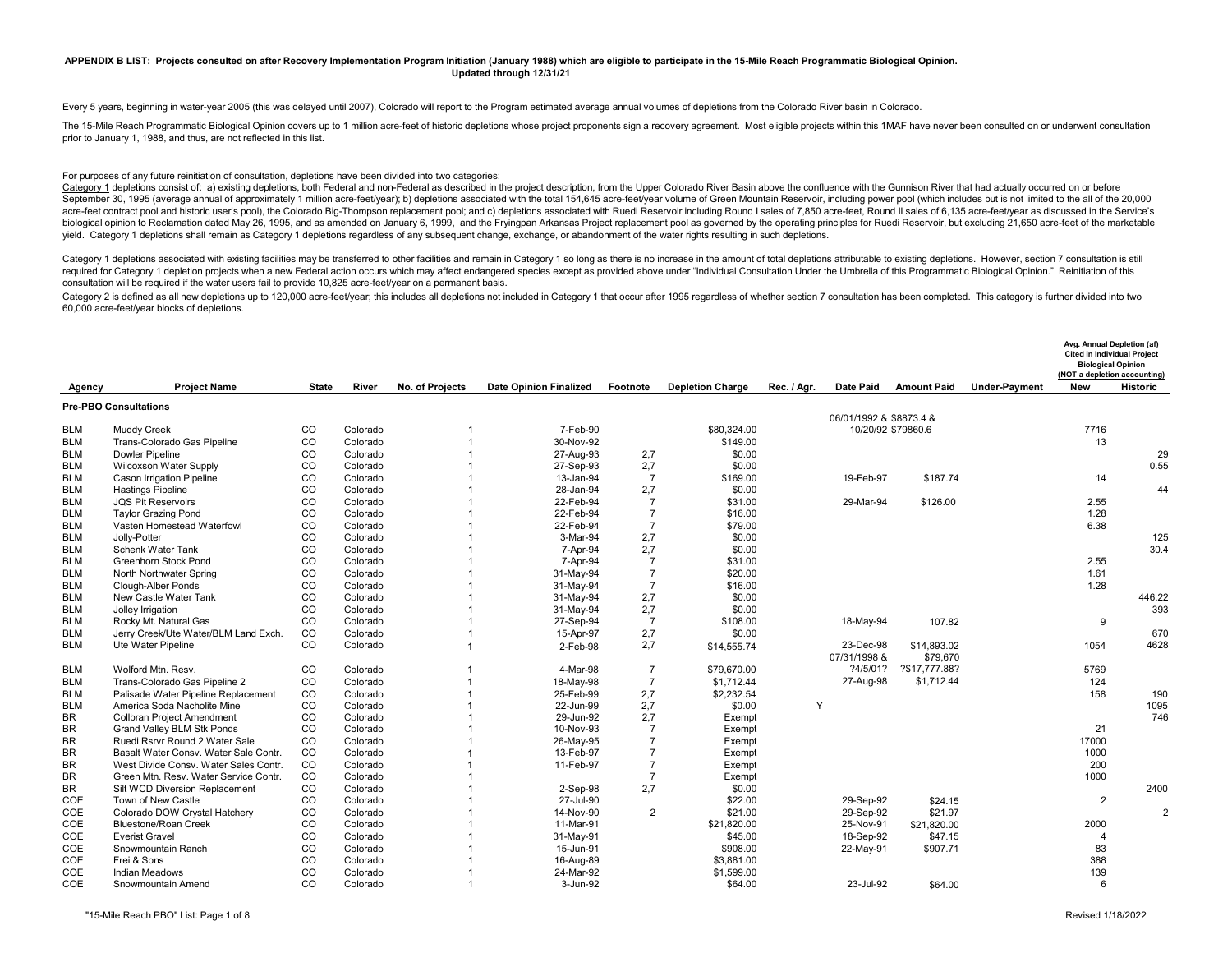### **APPENDIX B LIST: Projects consulted on after Recovery Implementation Program Initiation (January 1988) which are eligible to participate in the 15-Mile Reach Programmatic Biological Opinion. Updated through 12/31/21**

Every 5 years, beginning in water-year 2005 (this was delayed until 2007), Colorado will report to the Program estimated average annual volumes of depletions from the Colorado River basin in Colorado.

The 15-Mile Reach Programmatic Biological Opinion covers up to 1 million acre-feet of historic depletions whose project proponents sign a recovery agreement. Most eligible projects within this 1MAF have never been consulte prior to January 1, 1988, and thus, are not reflected in this list.

#### For purposes of any future reinitiation of consultation, depletions have been divided into two categories:

Category 1 depletions consist of: a) existing depletions, both Federal and non-Federal as described in the project description, from the Upper Colorado River Basin above the confluence with the Gunnison River that had actu September 30, 1995 (average annual of approximately 1 million acre-feet/year); b) depletions associated with the total 154,645 acre-feet/year volume of Green Mountain Reservoir, including power pool (which includes but is acre-feet contract pool and historic user's pool), the Colorado Big-Thompson replacement pool; and c) depletions associated with Ruedi Reservoir including Round I sales of 7,850 acre-feet, Round II sales of 6,135 acre-feet biological opinion to Reclamation dated May 26, 1995, and as amended on January 6, 1999, and the Fryingpan Arkansas Project replacement pool as governed by the operating principles for Ruedi Reservoir, but excluding 21,650 yield. Category 1 depletions shall remain as Category 1 depletions regardless of any subsequent change, exchange, or abandonment of the water rights resulting in such depletions.

Category 1 depletions associated with existing facilities may be transferred to other facilities and remain in Category 1 so long as there is no increase in the amount of total depletions attributable to existing depletion required for Category 1 depletion projects when a new Federal action occurs which may affect endangered species except as provided above under "Individual Consultation Under the Umbrella of this Programmatic Biological Opi consultation will be required if the water users fail to provide 10,825 acre-feet/year on a permanent basis.

Category 2 is defined as all new depletions up to 120,000 acre-feet/year; this includes all depletions not included in Category 1 that occur after 1995 regardless of whether section 7 consultation has been completed. This 60,000 acre-feet/year blocks of depletions.

|            |                                       |              |          |                 |                               |                |                         |             |                                               |                    |                      | Avg. Annual Depletion (af)<br><b>Cited in Individual Project</b><br><b>Biological Opinion</b><br>(NOT a depletion accounting) |                 |
|------------|---------------------------------------|--------------|----------|-----------------|-------------------------------|----------------|-------------------------|-------------|-----------------------------------------------|--------------------|----------------------|-------------------------------------------------------------------------------------------------------------------------------|-----------------|
| Agency     | <b>Project Name</b>                   | <b>State</b> | River    | No. of Projects | <b>Date Opinion Finalized</b> | Footnote       | <b>Depletion Charge</b> | Rec. / Agr. | Date Paid                                     | <b>Amount Paid</b> | <b>Under-Payment</b> | <b>New</b>                                                                                                                    | <b>Historic</b> |
|            | <b>Pre-PBO Consultations</b>          |              |          |                 |                               |                |                         |             |                                               |                    |                      |                                                                                                                               |                 |
| <b>BLM</b> | <b>Muddy Creek</b>                    | CO           | Colorado |                 | 7-Feb-90                      |                | \$80,324.00             |             | 06/01/1992 & \$8873.4 &<br>10/20/92 \$79860.6 |                    |                      | 7716                                                                                                                          |                 |
| <b>BLM</b> | Trans-Colorado Gas Pipeline           | CO           | Colorado |                 | 30-Nov-92                     |                | \$149.00                |             |                                               |                    |                      | 13                                                                                                                            |                 |
| <b>BLM</b> | <b>Dowler Pipeline</b>                | CO           | Colorado |                 | 27-Aug-93                     | 2,7            | \$0.00                  |             |                                               |                    |                      |                                                                                                                               | 29              |
| <b>BLM</b> | <b>Wilcoxson Water Supply</b>         | CO           | Colorado |                 | 27-Sep-93                     | 2,7            | \$0.00                  |             |                                               |                    |                      |                                                                                                                               | 0.55            |
| <b>BLM</b> | <b>Cason Irrigation Pipeline</b>      | CO           | Colorado |                 | 13-Jan-94                     | $\overline{7}$ | \$169.00                |             | 19-Feb-97                                     | \$187.74           |                      | 14                                                                                                                            |                 |
| <b>BLM</b> | <b>Hastings Pipeline</b>              | CO           | Colorado |                 | 28-Jan-94                     | 2,7            | \$0.00                  |             |                                               |                    |                      |                                                                                                                               | 44              |
| <b>BLM</b> | <b>JQS Pit Reservoirs</b>             | CO           | Colorado |                 | 22-Feb-94                     | $\overline{7}$ | \$31.00                 |             | 29-Mar-94                                     | \$126.00           |                      | 2.55                                                                                                                          |                 |
| <b>BLM</b> | <b>Taylor Grazing Pond</b>            | CO           | Colorado |                 | 22-Feb-94                     | $\overline{7}$ | \$16.00                 |             |                                               |                    |                      | 1.28                                                                                                                          |                 |
| <b>BLM</b> | Vasten Homestead Waterfowl            | CO           | Colorado |                 | 22-Feb-94                     | $\overline{7}$ | \$79.00                 |             |                                               |                    |                      | 6.38                                                                                                                          |                 |
| <b>BLM</b> | Jolly-Potter                          | CO           | Colorado |                 | 3-Mar-94                      | 2,7            | \$0.00                  |             |                                               |                    |                      |                                                                                                                               | 125             |
| <b>BLM</b> | Schenk Water Tank                     | CO           | Colorado |                 | 7-Apr-94                      | 2,7            | \$0.00                  |             |                                               |                    |                      |                                                                                                                               | 30.4            |
| <b>BLM</b> | <b>Greenhorn Stock Pond</b>           | CO           | Colorado |                 | 7-Apr-94                      | $\overline{7}$ | \$31.00                 |             |                                               |                    |                      | 2.55                                                                                                                          |                 |
| <b>BLM</b> | North Northwater Spring               | CO           | Colorado |                 | 31-May-94                     | $\overline{7}$ | \$20.00                 |             |                                               |                    |                      | 1.61                                                                                                                          |                 |
| <b>BLM</b> | Clough-Alber Ponds                    | CO           | Colorado |                 | 31-May-94                     | $\overline{7}$ | \$16.00                 |             |                                               |                    |                      | 1.28                                                                                                                          |                 |
| <b>BLM</b> | New Castle Water Tank                 | CO           | Colorado |                 | 31-May-94                     | 2,7            | \$0.00                  |             |                                               |                    |                      |                                                                                                                               | 446.22          |
| <b>BLM</b> | Jolley Irrigation                     | CO           | Colorado |                 | 31-May-94                     | 2,7            | \$0.00                  |             |                                               |                    |                      |                                                                                                                               | 393             |
| <b>BLM</b> | Rocky Mt. Natural Gas                 | CO           | Colorado |                 | 27-Sep-94                     | $\overline{7}$ | \$108.00                |             | 18-May-94                                     | 107.82             |                      | 9                                                                                                                             |                 |
| <b>BLM</b> | Jerry Creek/Ute Water/BLM Land Exch.  | CO           | Colorado |                 | 15-Apr-97                     | 2,7            | \$0.00                  |             |                                               |                    |                      |                                                                                                                               | 670             |
| <b>BLM</b> | Ute Water Pipeline                    | CO           | Colorado |                 | 2-Feb-98                      | 2,7            | \$14,555.74             |             | 23-Dec-98                                     | \$14,893.02        |                      | 1054                                                                                                                          | 4628            |
|            |                                       |              |          |                 |                               |                |                         |             | 07/31/1998 &                                  | \$79,670           |                      |                                                                                                                               |                 |
| <b>BLM</b> | Wolford Mtn. Resv.                    | CO           | Colorado |                 | 4-Mar-98                      | $\overline{7}$ | \$79,670.00             |             | ?4/5/01?                                      | ?\$17,777.88?      |                      | 5769                                                                                                                          |                 |
| <b>BLM</b> | Trans-Colorado Gas Pipeline 2         | CO           | Colorado |                 | 18-May-98                     | $\overline{7}$ | \$1,712.44              |             | 27-Aug-98                                     | \$1,712.44         |                      | 124                                                                                                                           |                 |
| <b>BLM</b> | Palisade Water Pipeline Replacement   | CO           | Colorado |                 | 25-Feb-99                     | 2,7            | \$2,232.54              |             |                                               |                    |                      | 158                                                                                                                           | 190             |
| <b>BLM</b> | America Soda Nacholite Mine           | CO           | Colorado |                 | 22-Jun-99                     | 2,7            | \$0.00                  | Y           |                                               |                    |                      |                                                                                                                               | 1095            |
| BR         | <b>Collbran Project Amendment</b>     | CO           | Colorado |                 | 29-Jun-92                     | 2,7            | Exempt                  |             |                                               |                    |                      |                                                                                                                               | 746             |
| BR         | Grand Valley BLM Stk Ponds            | CO           | Colorado |                 | 10-Nov-93                     | $\overline{7}$ | Exempt                  |             |                                               |                    |                      | 21                                                                                                                            |                 |
| <b>BR</b>  | Ruedi Rsrvr Round 2 Water Sale        | CO           | Colorado |                 | 26-May-95                     | $\overline{7}$ | Exempt                  |             |                                               |                    |                      | 17000                                                                                                                         |                 |
| <b>BR</b>  | Basalt Water Consy, Water Sale Contr. | CO           | Colorado |                 | 13-Feb-97                     | $\overline{7}$ | Exempt                  |             |                                               |                    |                      | 1000                                                                                                                          |                 |
| BR         | West Divide Consy, Water Sales Contr. | CO           | Colorado |                 | 11-Feb-97                     | $\overline{7}$ | Exempt                  |             |                                               |                    |                      | 200                                                                                                                           |                 |
| <b>BR</b>  | Green Mtn. Resv. Water Service Contr. | CO           | Colorado |                 |                               |                | Exempt                  |             |                                               |                    |                      | 1000                                                                                                                          |                 |
| <b>BR</b>  | Silt WCD Diversion Replacement        | CO           | Colorado |                 | 2-Sep-98                      | 2.7            | \$0.00                  |             |                                               |                    |                      |                                                                                                                               | 2400            |
| COE        | Town of New Castle                    | CO           | Colorado |                 | 27-Jul-90                     |                | \$22.00                 |             | 29-Sep-92                                     | \$24.15            |                      | $\overline{2}$                                                                                                                |                 |
| COE        | Colorado DOW Crystal Hatchery         | CO           | Colorado |                 | 14-Nov-90                     | $\overline{2}$ | \$21.00                 |             | 29-Sep-92                                     | \$21.97            |                      |                                                                                                                               | $\overline{2}$  |
| COE        | <b>Bluestone/Roan Creek</b>           | CO           | Colorado |                 | 11-Mar-91                     |                | \$21,820.00             |             | 25-Nov-91                                     | \$21,820.00        |                      | 2000                                                                                                                          |                 |
| COE        | <b>Everist Gravel</b>                 | CO           | Colorado |                 | 31-May-91                     |                | \$45.00                 |             | 18-Sep-92                                     | \$47.15            |                      | 4                                                                                                                             |                 |
| COE        | Snowmountain Ranch                    | CO           | Colorado |                 | 15-Jun-91                     |                | \$908.00                |             | 22-May-91                                     | \$907.71           |                      | 83                                                                                                                            |                 |
| COE        | Frei & Sons                           | CO           | Colorado |                 | 16-Aug-89                     |                | \$3,881.00              |             |                                               |                    |                      | 388                                                                                                                           |                 |
| COE        | <b>Indian Meadows</b>                 | CO           | Colorado |                 | 24-Mar-92                     |                | \$1,599.00              |             |                                               |                    |                      | 139                                                                                                                           |                 |
| COE        | Snowmountain Amend                    | CO           | Colorado |                 | 3-Jun-92                      |                | \$64.00                 |             | 23-Jul-92                                     | \$64.00            |                      | 6                                                                                                                             |                 |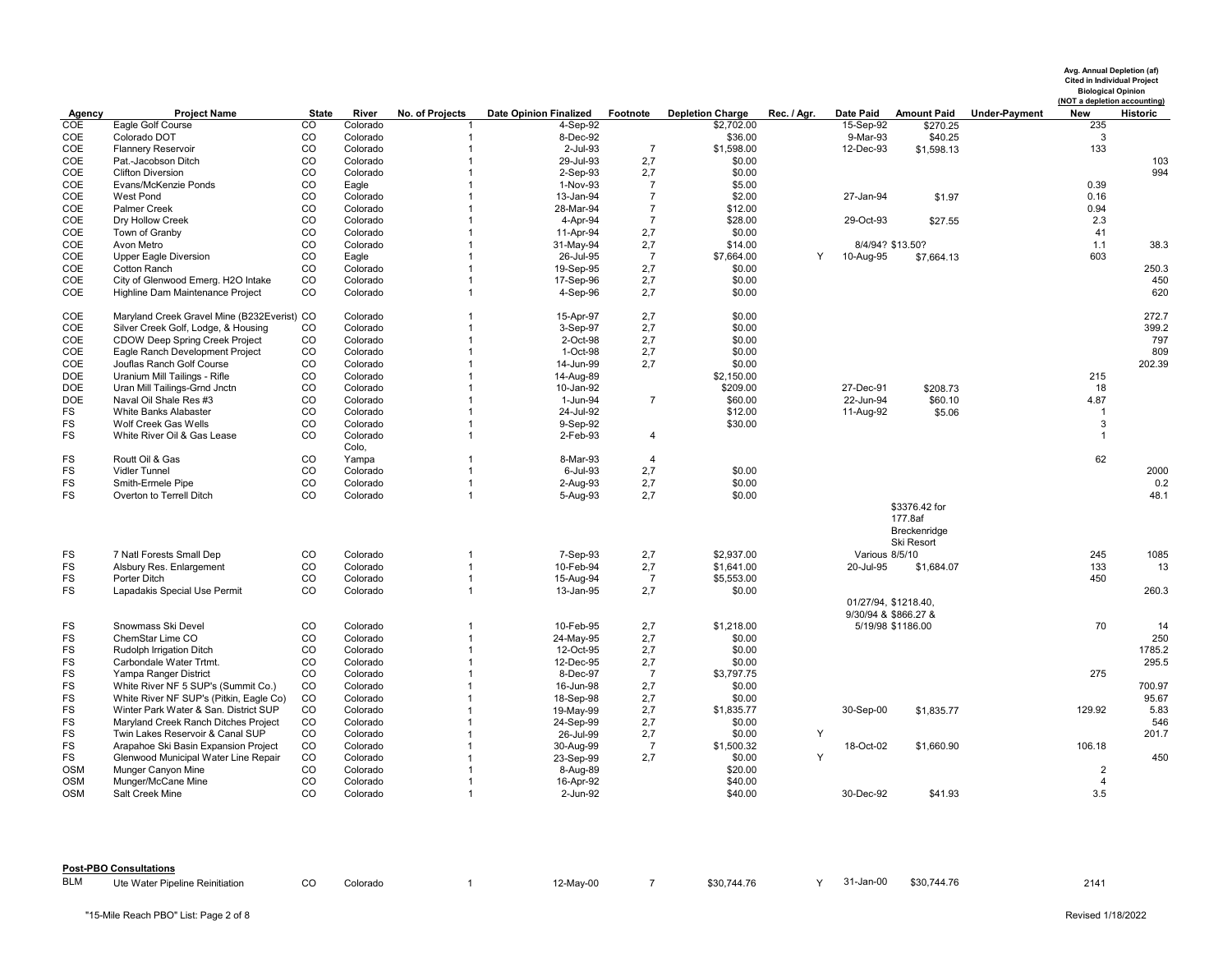|            |                                                                          |                |                      |                              |                               |                |                         |             |                                              |                                                        |                      | Avg. Annual Depletion (af)<br><b>Cited in Individual Project</b><br><b>Biological Opinion</b><br>(NOT a depletion accounting) |                 |
|------------|--------------------------------------------------------------------------|----------------|----------------------|------------------------------|-------------------------------|----------------|-------------------------|-------------|----------------------------------------------|--------------------------------------------------------|----------------------|-------------------------------------------------------------------------------------------------------------------------------|-----------------|
| Agency     | <b>Project Name</b>                                                      | <b>State</b>   | River                | No. of Projects              | <b>Date Opinion Finalized</b> | Footnote       | <b>Depletion Charge</b> | Rec. / Agr. | <b>Date Paid</b>                             | <b>Amount Paid</b>                                     | <b>Under-Payment</b> | <b>New</b>                                                                                                                    | <b>Historic</b> |
| COE        | Eagle Golf Course                                                        | $\overline{c}$ | Colorado             |                              | 4-Sep-92                      |                | \$2,702.00              |             | 15-Sep-92                                    | \$270.25                                               |                      | 235                                                                                                                           |                 |
| COE<br>COE | Colorado DOT                                                             | CO<br>CO       | Colorado<br>Colorado | 1                            | 8-Dec-92<br>2-Jul-93          | $\overline{7}$ | \$36.00<br>\$1,598.00   |             | 9-Mar-93<br>12-Dec-93                        | \$40.25<br>\$1,598.13                                  |                      | 3<br>133                                                                                                                      |                 |
| COE        | <b>Flannery Reservoir</b><br>Pat.-Jacobson Ditch                         | CO             | Colorado             |                              | 29-Jul-93                     | 2,7            | \$0.00                  |             |                                              |                                                        |                      |                                                                                                                               | 103             |
| COE        | <b>Clifton Diversion</b>                                                 | CO             | Colorado             |                              | 2-Sep-93                      | 2,7            | \$0.00                  |             |                                              |                                                        |                      |                                                                                                                               | 994             |
| COE        | Evans/McKenzie Ponds                                                     | CO             | Eagle                |                              | 1-Nov-93                      | $\overline{7}$ | \$5.00                  |             |                                              |                                                        |                      | 0.39                                                                                                                          |                 |
| COE        | <b>West Pond</b>                                                         | CO             | Colorado             |                              | 13-Jan-94                     | $\overline{7}$ | \$2.00                  |             | 27-Jan-94                                    | \$1.97                                                 |                      | 0.16                                                                                                                          |                 |
| COE        | <b>Palmer Creek</b>                                                      | CO             | Colorado             |                              | 28-Mar-94                     | $\overline{7}$ | \$12.00                 |             |                                              |                                                        |                      | 0.94                                                                                                                          |                 |
| COE        | Dry Hollow Creek                                                         | CO             | Colorado             |                              | 4-Apr-94                      | $\overline{7}$ | \$28.00                 |             | 29-Oct-93                                    | \$27.55                                                |                      | 2.3                                                                                                                           |                 |
| COE        | Town of Granby                                                           | CO             | Colorado             |                              | 11-Apr-94                     | 2,7            | \$0.00                  |             |                                              |                                                        |                      | 41                                                                                                                            |                 |
| COE        | Avon Metro                                                               | CO             | Colorado             |                              | 31-May-94                     | 2,7            | \$14.00                 |             | 8/4/94? \$13.50?                             |                                                        |                      | 1.1                                                                                                                           | 38.3            |
| COE        | <b>Upper Eagle Diversion</b>                                             | CO             | Eagle                |                              | 26-Jul-95                     | $\overline{7}$ | \$7,664.00              | Y           | 10-Aug-95                                    | \$7,664.13                                             |                      | 603                                                                                                                           |                 |
| COE        | <b>Cotton Ranch</b>                                                      | CO             | Colorado             |                              | 19-Sep-95                     | 2,7            | \$0.00                  |             |                                              |                                                        |                      |                                                                                                                               | 250.3           |
| COE        | City of Glenwood Emerg. H2O Intake                                       | CO             | Colorado             | $\mathbf{1}$                 | 17-Sep-96                     | 2,7            | \$0.00                  |             |                                              |                                                        |                      |                                                                                                                               | 450             |
| COE        | Highline Dam Maintenance Project                                         | CO             | Colorado             | $\mathbf{1}$                 | 4-Sep-96                      | 2,7            | \$0.00                  |             |                                              |                                                        |                      |                                                                                                                               | 620             |
| COE        | Maryland Creek Gravel Mine (B232Everist) CO                              |                | Colorado             | 1                            | 15-Apr-97                     | 2,7            | \$0.00                  |             |                                              |                                                        |                      |                                                                                                                               | 272.7           |
| COE        | Silver Creek Golf, Lodge, & Housing                                      | CO             | Colorado             |                              | 3-Sep-97                      | 2,7            | \$0.00                  |             |                                              |                                                        |                      |                                                                                                                               | 399.2           |
| COE        | CDOW Deep Spring Creek Project                                           | CO             | Colorado             | $\mathbf 1$                  | 2-Oct-98                      | 2,7            | \$0.00                  |             |                                              |                                                        |                      |                                                                                                                               | 797             |
| COE        | Eagle Ranch Development Project                                          | CO             | Colorado             | $\mathbf{1}$                 | 1-Oct-98                      | 2,7            | \$0.00                  |             |                                              |                                                        |                      |                                                                                                                               | 809             |
| COE        | Jouflas Ranch Golf Course                                                | CO             | Colorado             |                              | 14-Jun-99                     | 2,7            | \$0.00                  |             |                                              |                                                        |                      |                                                                                                                               | 202.39          |
| <b>DOE</b> | Uranium Mill Tailings - Rifle                                            | CO             | Colorado             |                              | 14-Aug-89                     |                | \$2,150.00              |             |                                              |                                                        |                      | 215                                                                                                                           |                 |
| <b>DOE</b> | Uran Mill Tailings-Grnd Jnctn                                            | CO             | Colorado             |                              | 10-Jan-92                     |                | \$209.00                |             | 27-Dec-91                                    | \$208.73                                               |                      | 18                                                                                                                            |                 |
| <b>DOE</b> | Naval Oil Shale Res #3                                                   | CO             | Colorado             |                              | 1-Jun-94                      | $\overline{7}$ | \$60.00                 |             | 22-Jun-94                                    | \$60.10                                                |                      | 4.87                                                                                                                          |                 |
| FS<br>FS   | White Banks Alabaster<br>Wolf Creek Gas Wells                            | CO<br>CO       | Colorado<br>Colorado | $\mathbf{1}$<br>$\mathbf{1}$ | 24-Jul-92                     |                | \$12.00<br>\$30.00      |             | 11-Aug-92                                    | \$5.06                                                 |                      | $\overline{1}$<br>3                                                                                                           |                 |
| FS         | White River Oil & Gas Lease                                              | CO             | Colorado             | $\overline{1}$               | 9-Sep-92<br>2-Feb-93          | $\overline{4}$ |                         |             |                                              |                                                        |                      | $\overline{1}$                                                                                                                |                 |
|            |                                                                          |                | Colo,                |                              |                               |                |                         |             |                                              |                                                        |                      |                                                                                                                               |                 |
| FS         | Routt Oil & Gas                                                          | CO             | Yampa                | $\mathbf{1}$                 | 8-Mar-93                      | $\overline{4}$ |                         |             |                                              |                                                        |                      | 62                                                                                                                            |                 |
| FS.        | <b>Vidler Tunnel</b>                                                     | CO             | Colorado             | $\mathbf{1}$                 | 6-Jul-93                      | 2,7            | \$0.00                  |             |                                              |                                                        |                      |                                                                                                                               | 2000            |
| FS         | Smith-Ermele Pipe                                                        | CO             | Colorado             | $\mathbf 1$                  | 2-Aug-93                      | 2,7            | \$0.00                  |             |                                              |                                                        |                      |                                                                                                                               | 0.2             |
| FS         | Overton to Terrell Ditch                                                 | CO             | Colorado             | $\mathbf{1}$                 | 5-Aug-93                      | 2,7            | \$0.00                  |             |                                              |                                                        |                      |                                                                                                                               | 48.1            |
|            |                                                                          |                |                      |                              |                               |                |                         |             |                                              | \$3376.42 for<br>177.8af<br>Breckenridge<br>Ski Resort |                      |                                                                                                                               |                 |
| FS         | 7 Natl Forests Small Dep                                                 | CO             | Colorado             |                              | 7-Sep-93                      | 2,7            | \$2,937.00              |             | Various 8/5/10                               |                                                        |                      | 245                                                                                                                           | 1085            |
| FS         | Alsbury Res. Enlargement                                                 | CO             | Colorado             | $\mathbf{1}$                 | 10-Feb-94                     | 2,7            | \$1,641.00              |             | 20-Jul-95                                    | \$1,684.07                                             |                      | 133                                                                                                                           | 13              |
| FS         | Porter Ditch                                                             | CO             | Colorado             | $\mathbf{1}$                 | 15-Aug-94                     | $\overline{7}$ | \$5,553.00              |             |                                              |                                                        |                      | 450                                                                                                                           |                 |
| FS         | Lapadakis Special Use Permit                                             | CO.            | Colorado             | $\mathbf 1$                  | 13-Jan-95                     | 2,7            | \$0.00                  |             |                                              |                                                        |                      |                                                                                                                               | 260.3           |
|            |                                                                          |                |                      |                              |                               |                |                         |             | 01/27/94, \$1218.40,<br>9/30/94 & \$866.27 & |                                                        |                      |                                                                                                                               |                 |
| FS         | Snowmass Ski Devel                                                       | CO             | Colorado             | 1                            | 10-Feb-95                     | 2,7            | \$1,218.00              |             |                                              | 5/19/98 \$1186.00                                      |                      | 70                                                                                                                            | 14              |
| FS         | ChemStar Lime CO                                                         | CO             | Colorado             | $\mathbf 1$                  | 24-May-95                     | 2,7            | \$0.00                  |             |                                              |                                                        |                      |                                                                                                                               | 250             |
| FS         | Rudolph Irrigation Ditch                                                 | CO             | Colorado             |                              | 12-Oct-95                     | 2,7            | \$0.00                  |             |                                              |                                                        |                      |                                                                                                                               | 1785.2          |
| FS         | Carbondale Water Trtmt.                                                  | CO             | Colorado             |                              | 12-Dec-95                     | 2,7            | \$0.00                  |             |                                              |                                                        |                      |                                                                                                                               | 295.5           |
| FS         | Yampa Ranger District                                                    | CO             | Colorado             |                              | 8-Dec-97                      | $\overline{7}$ | \$3,797.75              |             |                                              |                                                        |                      | 275                                                                                                                           |                 |
| FS         | White River NF 5 SUP's (Summit Co.)                                      | CO             | Colorado             | 1                            | 16-Jun-98                     | 2,7            | \$0.00                  |             |                                              |                                                        |                      |                                                                                                                               | 700.97          |
| FS         | White River NF SUP's (Pitkin, Eagle Co)                                  | CO             | Colorado             | $\mathbf{1}$                 | 18-Sep-98                     | 2,7            | \$0.00                  |             |                                              |                                                        |                      |                                                                                                                               | 95.67           |
| FS         | Winter Park Water & San. District SUP                                    | CO<br>CO       | Colorado             |                              | 19-May-99                     | 2,7            | \$1,835.77              |             | 30-Sep-00                                    | \$1,835.77                                             |                      | 129.92                                                                                                                        | 5.83            |
| FS<br>FS   | Maryland Creek Ranch Ditches Project                                     | CO             | Colorado             |                              | 24-Sep-99                     | 2,7<br>2,7     | \$0.00                  | Y           |                                              |                                                        |                      |                                                                                                                               | 546<br>201.7    |
| FS         | Twin Lakes Reservoir & Canal SUP<br>Arapahoe Ski Basin Expansion Project | CO             | Colorado<br>Colorado | $\mathbf 1$<br>$\mathbf{1}$  | 26-Jul-99<br>30-Aug-99        | $\overline{7}$ | \$0.00<br>\$1,500.32    |             | 18-Oct-02                                    | \$1,660.90                                             |                      | 106.18                                                                                                                        |                 |
| FS         | Glenwood Municipal Water Line Repair                                     | CO             | Colorado             | $\overline{1}$               | 23-Sep-99                     | 2,7            | \$0.00                  | Y           |                                              |                                                        |                      |                                                                                                                               | 450             |
| OSM        | Munger Canyon Mine                                                       | CO             | Colorado             | -1                           | 8-Aug-89                      |                | \$20.00                 |             |                                              |                                                        |                      | $\overline{2}$                                                                                                                |                 |
| OSM        | Munger/McCane Mine                                                       | CO             | Colorado             |                              | 16-Apr-92                     |                | \$40.00                 |             |                                              |                                                        |                      | $\overline{4}$                                                                                                                |                 |
| OSM        | Salt Creek Mine                                                          | CO             | Colorado             | 1                            | 2-Jun-92                      |                | \$40.00                 |             | 30-Dec-92                                    | \$41.93                                                |                      | 3.5                                                                                                                           |                 |
|            |                                                                          |                |                      |                              |                               |                |                         |             |                                              |                                                        |                      |                                                                                                                               |                 |

|     | <b>Post-PBO Consultations</b>   |    |          |           |             |           |           |             |      |
|-----|---------------------------------|----|----------|-----------|-------------|-----------|-----------|-------------|------|
| BLM | Ute Water Pipeline Reinitiation | CO | Colorado | 12-Mav-00 | \$30,744.76 | $\lambda$ | 31-Jan-00 | \$30,744.76 | 214' |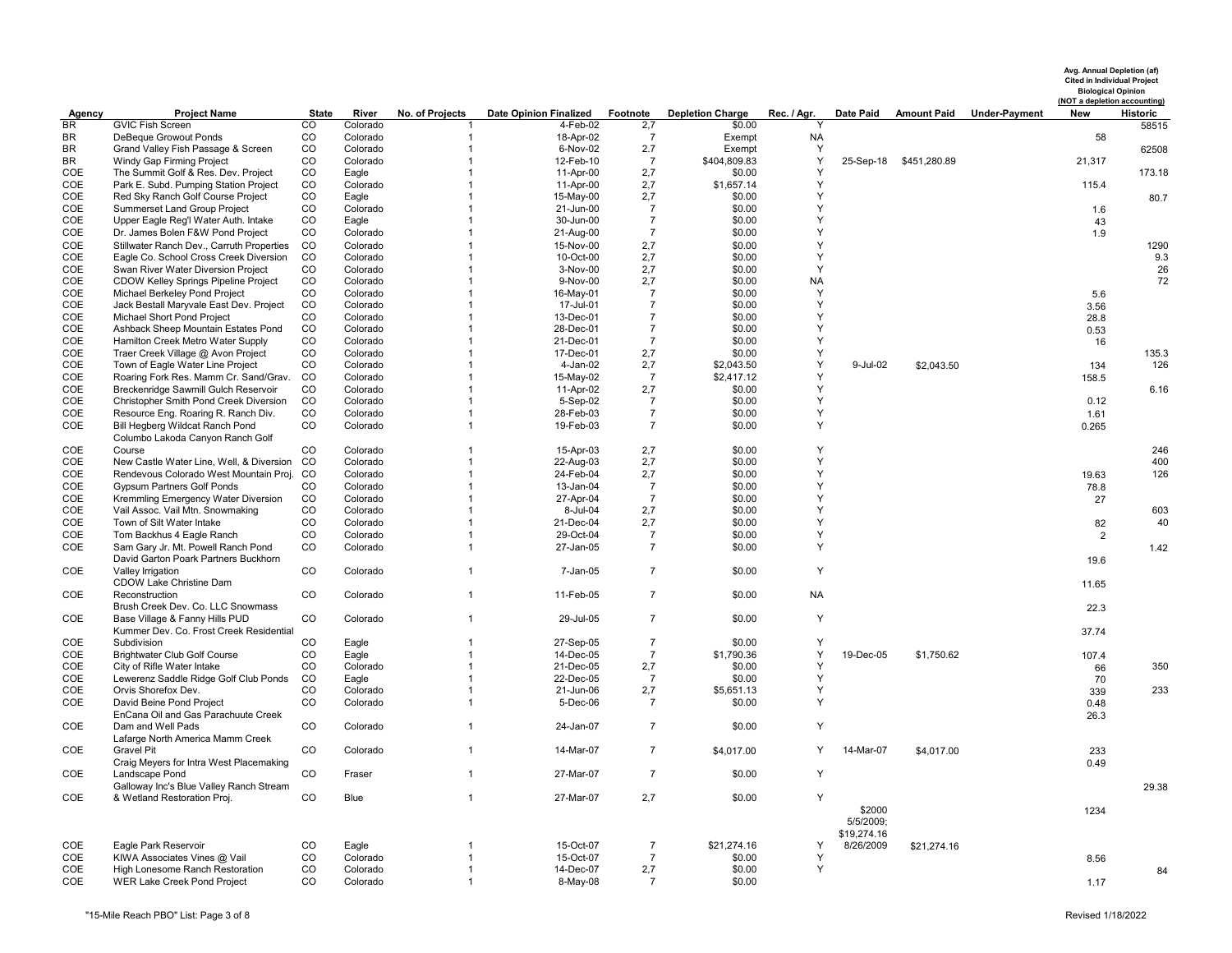| Avg. Annual Depletion (af)         |
|------------------------------------|
| <b>Cited in Individual Project</b> |
| <b>Biological Opinion</b>          |
| (NOT a depletion accounting        |

| Agency    | <b>Project Name</b>                         | <b>State</b>   | River       | No. of Projects | <b>Date Opinion Finalized</b> | Footnote       | <b>Depletion Charge</b> | Rec. / Agr. | Date Paid   | <b>Amount Paid</b>     | <b>Under-Payment</b> | New            | <b>Historic</b> |
|-----------|---------------------------------------------|----------------|-------------|-----------------|-------------------------------|----------------|-------------------------|-------------|-------------|------------------------|----------------------|----------------|-----------------|
| <b>BR</b> | <b>GVIC Fish Screen</b>                     | $\overline{c}$ | Colorado    |                 | 4-Feb-02                      | 2,7            | \$0.00                  |             |             |                        |                      |                | 58515           |
| BR        | DeBeque Growout Ponds                       | $_{\rm CO}$    | Colorado    | -1              | 18-Apr-02                     | $\overline{7}$ | Exempt                  | <b>NA</b>   |             |                        |                      | 58             |                 |
| BR.       | Grand Valley Fish Passage & Screen          | CO             | Colorado    | $\mathbf{1}$    | 6-Nov-02                      | 2.7            | Exempt                  | Y           |             |                        |                      |                | 62508           |
| BR        | Windy Gap Firming Project                   | CO             | Colorado    | $\mathbf{1}$    | 12-Feb-10                     | $\overline{7}$ | \$404,809.83            | Y           |             | 25-Sep-18 \$451,280.89 |                      | 21,317         |                 |
| COE       | The Summit Golf & Res. Dev. Project         | CO             | Eagle       | $\mathbf{1}$    | 11-Apr-00                     | 2,7            | \$0.00                  | Y           |             |                        |                      |                | 173.18          |
| COE       | Park E. Subd. Pumping Station Project       | CO             | Colorado    | 1               | 11-Apr-00                     | 2,7            | \$1,657.14              | Y           |             |                        |                      | 115.4          |                 |
| COE       | Red Sky Ranch Golf Course Project           | CO             | Eagle       | $\mathbf{1}$    | 15-May-00                     | 2,7            | \$0.00                  | Y           |             |                        |                      |                | 80.7            |
| COE       | <b>Summerset Land Group Project</b>         | CO             | Colorado    | $\mathbf{1}$    | 21-Jun-00                     | $\overline{7}$ | \$0.00                  | Y           |             |                        |                      | 1.6            |                 |
| COE       | Upper Eagle Reg'l Water Auth. Intake        | CO             | Eagle       | 1               | 30-Jun-00                     | $\overline{7}$ | \$0.00                  | Υ           |             |                        |                      | 43             |                 |
| COE       | Dr. James Bolen F&W Pond Project            | CO             | Colorado    | $\mathbf{1}$    | 21-Aug-00                     | $\overline{7}$ | \$0.00                  | Y           |             |                        |                      | 1.9            |                 |
| COE       | Stillwater Ranch Dev., Carruth Properties   | CO             | Colorado    | $\mathbf{1}$    | 15-Nov-00                     | 2,7            | \$0.00                  | Y           |             |                        |                      |                | 1290            |
| COE       | Eagle Co. School Cross Creek Diversion      | CO             | Colorado    | 1               | 10-Oct-00                     | 2,7            | \$0.00                  | Υ           |             |                        |                      |                | 9.3             |
| COE       | Swan River Water Diversion Project          | CO             | Colorado    | $\mathbf{1}$    | 3-Nov-00                      | 2,7            | \$0.00                  | Y           |             |                        |                      |                | 26              |
| COE       | CDOW Kelley Springs Pipeline Project        | CO             | Colorado    | $\mathbf{1}$    | 9-Nov-00                      | 2,7            | \$0.00                  | <b>NA</b>   |             |                        |                      |                | 72              |
| COE       | Michael Berkeley Pond Project               | CO             | Colorado    | $\mathbf{1}$    | 16-May-01                     | $\overline{7}$ | \$0.00                  | Y           |             |                        |                      | 5.6            |                 |
| COE       | Jack Bestall Maryvale East Dev. Project     | CO             | Colorado    | 1               | 17-Jul-01                     | $\overline{7}$ | \$0.00                  | Υ           |             |                        |                      | 3.56           |                 |
| COE       | Michael Short Pond Project                  | CO             | Colorado    | $\mathbf{1}$    | 13-Dec-01                     | $\overline{7}$ | \$0.00                  | Y           |             |                        |                      | 28.8           |                 |
| COE       | Ashback Sheep Mountain Estates Pond         | CO             | Colorado    | $\mathbf{1}$    | 28-Dec-01                     | $\overline{7}$ | \$0.00                  | Υ           |             |                        |                      | 0.53           |                 |
| COE       | Hamilton Creek Metro Water Supply           | CO             | Colorado    | $\mathbf{1}$    | 21-Dec-01                     | $\overline{7}$ | \$0.00                  | Υ           |             |                        |                      | 16             |                 |
| COE       | Traer Creek Village @ Avon Project          | CO             | Colorado    | 1               | 17-Dec-01                     | 2,7            | \$0.00                  | Υ           |             |                        |                      |                | 135.3           |
| COE       | Town of Eagle Water Line Project            | CO             | Colorado    | $\mathbf{1}$    | 4-Jan-02                      | 2,7            | \$2,043.50              | Υ           | 9-Jul-02    | \$2,043.50             |                      | 134            | 126             |
| COE       | Roaring Fork Res. Mamm Cr. Sand/Grav.       | CO             | Colorado    | $\mathbf{1}$    | 15-May-02                     | 7              | \$2,417.12              | Y           |             |                        |                      | 158.5          |                 |
| COE       | Breckenridge Sawmill Gulch Reservoir        | CO             | Colorado    | 1               | 11-Apr-02                     | 2,7            | \$0.00                  | Υ           |             |                        |                      |                | 6.16            |
| COE       | Christopher Smith Pond Creek Diversion      | CO             | Colorado    | $\mathbf{1}$    | 5-Sep-02                      | $\overline{7}$ | \$0.00                  | Y           |             |                        |                      | 0.12           |                 |
| COE       | Resource Eng. Roaring R. Ranch Div.         | CO             | Colorado    | $\mathbf{1}$    | 28-Feb-03                     | $\overline{7}$ | \$0.00                  | Υ           |             |                        |                      | 1.61           |                 |
| COE       | Bill Hegberg Wildcat Ranch Pond             | CO             | Colorado    | $\mathbf{1}$    | 19-Feb-03                     | $\overline{7}$ | \$0.00                  | Υ           |             |                        |                      | 0.265          |                 |
|           | Columbo Lakoda Canyon Ranch Golf            |                |             |                 |                               |                |                         |             |             |                        |                      |                |                 |
| COE       | Course                                      | CO             | Colorado    | $\mathbf{1}$    | 15-Apr-03                     | 2,7            | \$0.00                  | Υ           |             |                        |                      |                | 246             |
| COE       | New Castle Water Line, Well, & Diversion CO |                | Colorado    | $\mathbf{1}$    | 22-Aug-03                     | 2,7            | \$0.00                  | Y           |             |                        |                      |                | 400             |
| COE       | Rendevous Colorado West Mountain Proj. CO   |                | Colorado    | $\mathbf{1}$    | 24-Feb-04                     | 2,7            | \$0.00                  | Y           |             |                        |                      | 19.63          | 126             |
| COE       | <b>Gypsum Partners Golf Ponds</b>           | CO             | Colorado    | $\mathbf{1}$    | 13-Jan-04                     | $\overline{7}$ | \$0.00                  | Υ           |             |                        |                      | 78.8           |                 |
| COE       | Kremmling Emergency Water Diversion         | CO             | Colorado    | $\mathbf{1}$    | 27-Apr-04                     | $\overline{7}$ | \$0.00                  | Y           |             |                        |                      | 27             |                 |
| COE       | Vail Assoc. Vail Mtn. Snowmaking            | CO             | Colorado    | 1               | 8-Jul-04                      | 2,7            | \$0.00                  | Y           |             |                        |                      |                | 603             |
| COE       | Town of Silt Water Intake                   | CO             | Colorado    | $\mathbf{1}$    | 21-Dec-04                     | 2,7            | \$0.00                  | Υ           |             |                        |                      | 82             | 40              |
| COE       | Tom Backhus 4 Eagle Ranch                   | CO             | Colorado    | $\mathbf{1}$    | 29-Oct-04                     | $\overline{7}$ | \$0.00                  | Y           |             |                        |                      | $\overline{2}$ |                 |
| COE       | Sam Gary Jr. Mt. Powell Ranch Pond          | CO             | Colorado    | 1               | 27-Jan-05                     | $\overline{7}$ | \$0.00                  | Y           |             |                        |                      |                | 1.42            |
|           | David Garton Poark Partners Buckhorn        |                |             |                 |                               |                |                         |             |             |                        |                      | 19.6           |                 |
| COE       | Valley Irrigation                           | CO             | Colorado    | $\mathbf{1}$    | 7-Jan-05                      | $\overline{7}$ | \$0.00                  | Y           |             |                        |                      |                |                 |
|           | CDOW Lake Christine Dam                     |                |             |                 |                               |                |                         |             |             |                        |                      | 11.65          |                 |
| COE       | Reconstruction                              | CO             | Colorado    | $\mathbf{1}$    | 11-Feb-05                     | $\overline{7}$ | \$0.00                  | <b>NA</b>   |             |                        |                      |                |                 |
|           | Brush Creek Dev. Co. LLC Snowmass           |                |             |                 |                               |                |                         |             |             |                        |                      | 22.3           |                 |
| COE       | Base Village & Fanny Hills PUD              | CO             | Colorado    | $\mathbf{1}$    | 29-Jul-05                     | $\overline{7}$ | \$0.00                  | Y           |             |                        |                      |                |                 |
|           | Kummer Dev. Co. Frost Creek Residential     |                |             |                 |                               |                |                         |             |             |                        |                      | 37.74          |                 |
| COE       | Subdivision                                 | CO             | Eagle       | $\mathbf{1}$    | 27-Sep-05                     | $\overline{7}$ | \$0.00                  |             |             |                        |                      |                |                 |
| COE       | <b>Brightwater Club Golf Course</b>         | CO             | Eagle       | $\mathbf{1}$    | 14-Dec-05                     | $\overline{7}$ | \$1,790.36              | Y           | 19-Dec-05   | \$1,750.62             |                      | 107.4          |                 |
| COE       | City of Rifle Water Intake                  | CO             | Colorado    | $\mathbf{1}$    | 21-Dec-05                     | 2,7            | \$0.00                  | Y           |             |                        |                      | 66             | 350             |
| COE       | Lewerenz Saddle Ridge Golf Club Ponds       | CO             | Eagle       | 1               | 22-Dec-05                     | $\overline{7}$ | \$0.00                  | Y           |             |                        |                      | 70             |                 |
| COE       | Orvis Shorefox Dev.                         | CO             | Colorado    | $\mathbf{1}$    | 21-Jun-06                     | 2,7            | \$5,651.13              | Υ           |             |                        |                      | 339            | 233             |
| COE       | David Beine Pond Project                    | CO             | Colorado    | $\mathbf{1}$    | 5-Dec-06                      | $\overline{7}$ | \$0.00                  | Y           |             |                        |                      | 0.48           |                 |
|           | EnCana Oil and Gas Parachuute Creek         |                |             |                 |                               |                |                         |             |             |                        |                      |                |                 |
| COE       | Dam and Well Pads                           | CO             | Colorado    | $\mathbf{1}$    | 24-Jan-07                     | $\overline{7}$ | \$0.00                  | Y           |             |                        |                      | 26.3           |                 |
|           | Lafarge North America Mamm Creek            |                |             |                 |                               |                |                         |             |             |                        |                      |                |                 |
| COE       | <b>Gravel Pit</b>                           | CO             | Colorado    | $\mathbf{1}$    | 14-Mar-07                     | $\overline{7}$ | \$4,017.00              | Y           | 14-Mar-07   | \$4,017.00             |                      | 233            |                 |
|           | Craig Meyers for Intra West Placemaking     |                |             |                 |                               |                |                         |             |             |                        |                      |                |                 |
| COE       | Landscape Pond                              | CO             | Fraser      | $\mathbf{1}$    | 27-Mar-07                     | $\overline{7}$ | \$0.00                  | Y           |             |                        |                      | 0.49           |                 |
|           | Galloway Inc's Blue Valley Ranch Stream     |                |             |                 |                               |                |                         |             |             |                        |                      |                |                 |
| COE       | & Wetland Restoration Proj.                 | CO             | <b>Blue</b> | $\mathbf{1}$    | 27-Mar-07                     | 2,7            | \$0.00                  | Y           |             |                        |                      |                | 29.38           |
|           |                                             |                |             |                 |                               |                |                         |             | \$2000      |                        |                      |                |                 |
|           |                                             |                |             |                 |                               |                |                         |             | 5/5/2009;   |                        |                      | 1234           |                 |
|           |                                             |                |             |                 |                               |                |                         |             | \$19,274.16 |                        |                      |                |                 |
| COE       | Eagle Park Reservoir                        | CO             | Eagle       | 1               | 15-Oct-07                     | 7              | \$21,274.16             | Y           | 8/26/2009   | \$21,274.16            |                      |                |                 |
| COE       | KIWA Associates Vines @ Vail                | CO             | Colorado    | $\mathbf{1}$    | 15-Oct-07                     | $\overline{7}$ | \$0.00                  | Y           |             |                        |                      | 8.56           |                 |
| COE       | High Lonesome Ranch Restoration             | CO             | Colorado    | $\mathbf{1}$    | 14-Dec-07                     | 2,7            | \$0.00                  | Υ           |             |                        |                      |                | 84              |
| COE       | <b>WER Lake Creek Pond Project</b>          | CO             | Colorado    | $\mathbf{1}$    | 8-May-08                      | $\overline{7}$ | \$0.00                  |             |             |                        |                      | 1.17           |                 |
|           |                                             |                |             |                 |                               |                |                         |             |             |                        |                      |                |                 |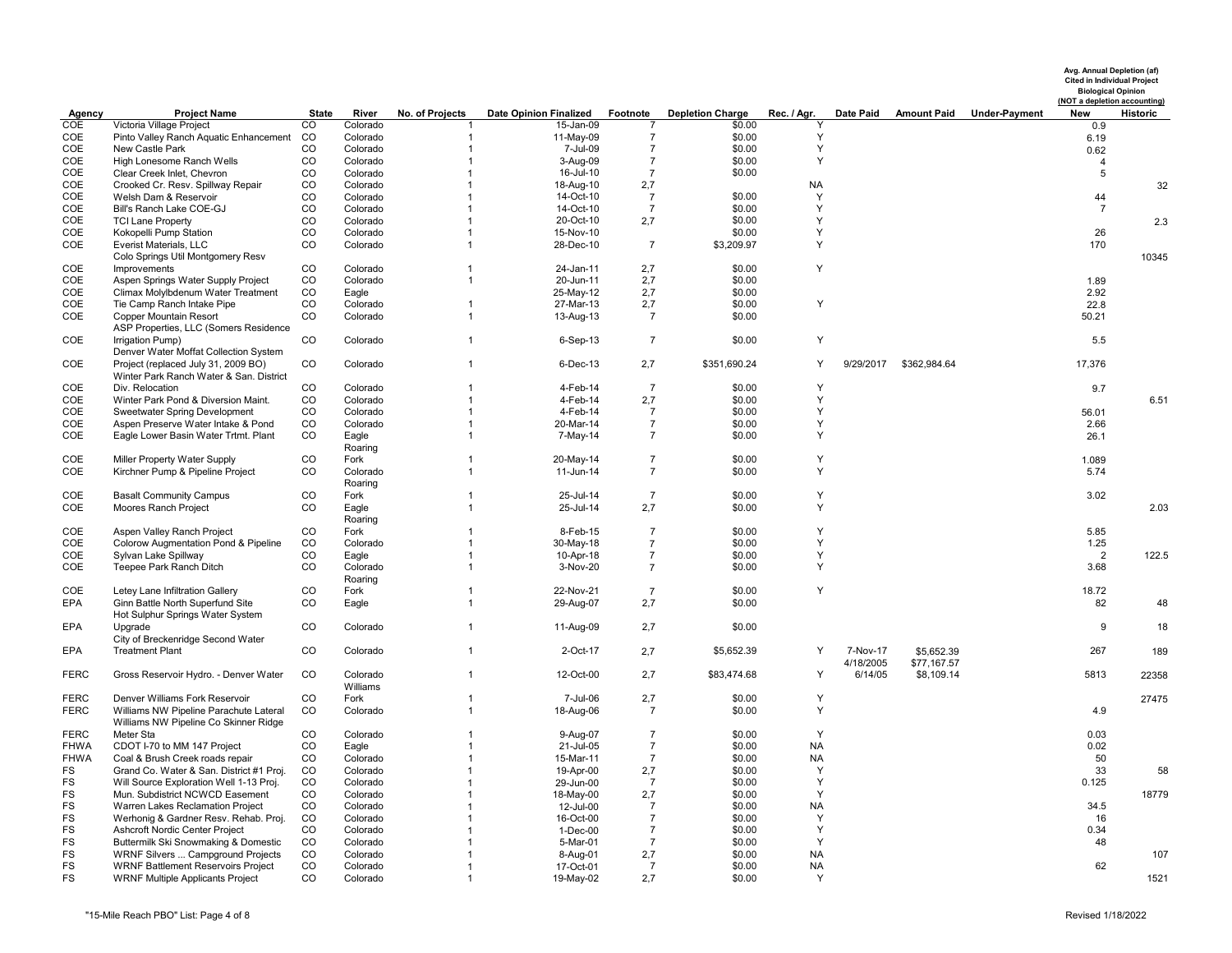|                            |                                                                                  |          |                      |                                  |                               |                       |                         |                |           |              |                                  | Avg. Annual Depletion (af)<br><b>Cited in Individual Project</b><br><b>Biological Opinion</b><br>(NOT a depletion accounting) |          |
|----------------------------|----------------------------------------------------------------------------------|----------|----------------------|----------------------------------|-------------------------------|-----------------------|-------------------------|----------------|-----------|--------------|----------------------------------|-------------------------------------------------------------------------------------------------------------------------------|----------|
| Agency                     | <b>Project Name</b>                                                              | State    | River                | No. of Projects                  | <b>Date Opinion Finalized</b> | Footnote              | <b>Depletion Charge</b> | Rec. / Agr.    | Date Paid |              | <b>Amount Paid Under-Payment</b> | New                                                                                                                           | Historic |
| COE<br>COE                 | Victoria Village Project<br>Pinto Valley Ranch Aquatic Enhancement               | CO<br>CO | Colorado<br>Colorado | $\overline{1}$                   | 15-Jan-09<br>11-May-09        | $\overline{7}$        | \$0.00<br>\$0.00        | Y              |           |              |                                  | 0.9                                                                                                                           |          |
| COE                        | New Castle Park                                                                  | CO       | Colorado             | $\overline{1}$                   | 7-Jul-09                      | $\overline{7}$        | \$0.00                  | Y              |           |              |                                  | 6.19<br>0.62                                                                                                                  |          |
| COE                        | High Lonesome Ranch Wells                                                        | CO       | Colorado             | $\mathbf 1$                      | 3-Aug-09                      | $\overline{7}$        | \$0.00                  | Y              |           |              |                                  | $\overline{4}$                                                                                                                |          |
| COE                        | Clear Creek Inlet, Chevron                                                       | CO       | Colorado             | $\mathbf{1}$                     | 16-Jul-10                     | $\overline{7}$        | \$0.00                  |                |           |              |                                  | 5                                                                                                                             |          |
| COE                        | Crooked Cr. Resv. Spillway Repair                                                | CO       | Colorado             | $\overline{1}$                   | 18-Aug-10                     | 2,7                   |                         | <b>NA</b>      |           |              |                                  |                                                                                                                               | 32       |
| COE                        | Welsh Dam & Reservoir                                                            | CO       | Colorado             | $\overline{1}$                   | 14-Oct-10                     | $\overline{7}$        | \$0.00                  | Y              |           |              |                                  | 44                                                                                                                            |          |
| COE                        | Bill's Ranch Lake COE-GJ                                                         | CO       | Colorado             | $\overline{1}$                   | 14-Oct-10                     | $\overline{7}$        | \$0.00                  | Y              |           |              |                                  | $\overline{7}$                                                                                                                |          |
| COE                        | <b>TCI Lane Property</b>                                                         | CO       | Colorado             | $\overline{1}$                   | 20-Oct-10                     | 2,7                   | \$0.00                  | Y              |           |              |                                  |                                                                                                                               | 2.3      |
| COE                        | Kokopelli Pump Station                                                           | CO       | Colorado             | $\overline{1}$                   | 15-Nov-10                     |                       | \$0.00                  | Y              |           |              |                                  | 26                                                                                                                            |          |
| COE                        | Everist Materials, LLC                                                           | CO       | Colorado             | $\overline{1}$                   | 28-Dec-10                     | $\overline{7}$        | \$3,209.97              | Y              |           |              |                                  | 170                                                                                                                           |          |
|                            | Colo Springs Util Montgomery Resv                                                |          |                      |                                  |                               |                       |                         |                |           |              |                                  |                                                                                                                               | 10345    |
| COE<br>COE                 | Improvements                                                                     | CO<br>CO | Colorado             | $\overline{1}$<br>$\mathbf{1}$   | 24-Jan-11                     | 2,7                   | \$0.00<br>\$0.00        | Y              |           |              |                                  | 1.89                                                                                                                          |          |
| COE                        | Aspen Springs Water Supply Project<br>Climax Molylbdenum Water Treatment         | CO       | Colorado<br>Eagle    |                                  | 20-Jun-11<br>25-May-12        | 2,7<br>2,7            | \$0.00                  |                |           |              |                                  | 2.92                                                                                                                          |          |
| COE                        | Tie Camp Ranch Intake Pipe                                                       | CO       | Colorado             | $\overline{1}$                   | 27-Mar-13                     | 2,7                   | \$0.00                  | Y              |           |              |                                  | 22.8                                                                                                                          |          |
| COE                        | Copper Mountain Resort                                                           | CO       | Colorado             | $\overline{1}$                   | 13-Aug-13                     | $\overline{7}$        | \$0.00                  |                |           |              |                                  | 50.21                                                                                                                         |          |
|                            | ASP Properties, LLC (Somers Residence                                            |          |                      |                                  |                               |                       |                         |                |           |              |                                  |                                                                                                                               |          |
| COE                        | Irrigation Pump)                                                                 | CO       | Colorado             | $\overline{1}$                   | $6-Sep-13$                    | $\overline{7}$        | \$0.00                  | Y              |           |              |                                  | 5.5                                                                                                                           |          |
|                            | Denver Water Moffat Collection System                                            |          |                      |                                  |                               |                       |                         |                |           |              |                                  |                                                                                                                               |          |
| COE                        | Project (replaced July 31, 2009 BO)                                              | CO       | Colorado             | $\overline{1}$                   | 6-Dec-13                      | 2,7                   | \$351,690.24            | Y              | 9/29/2017 | \$362,984.64 |                                  | 17,376                                                                                                                        |          |
|                            | Winter Park Ranch Water & San. District                                          |          |                      |                                  |                               |                       |                         |                |           |              |                                  |                                                                                                                               |          |
| COE                        | Div. Relocation                                                                  | CO       | Colorado             | $\mathbf{1}$                     | 4-Feb-14                      | $\overline{7}$        | \$0.00                  | Y              |           |              |                                  | 9.7                                                                                                                           |          |
| COE                        | Winter Park Pond & Diversion Maint.                                              | CO       | Colorado             | $\overline{1}$                   | 4-Feb-14                      | 2,7                   | \$0.00                  | Y              |           |              |                                  |                                                                                                                               | 6.51     |
| COE                        | Sweetwater Spring Development                                                    | CO       | Colorado             | $\overline{1}$                   | 4-Feb-14                      | $\overline{7}$        | \$0.00                  | Y<br>Y         |           |              |                                  | 56.01                                                                                                                         |          |
| COE<br>COE                 | Aspen Preserve Water Intake & Pond                                               | CO<br>CO | Colorado             | $\overline{1}$<br>$\overline{1}$ | 20-Mar-14                     | $\overline{7}$        | \$0.00                  | Y              |           |              |                                  | 2.66                                                                                                                          |          |
|                            | Eagle Lower Basin Water Trtmt. Plant                                             |          | Eagle<br>Roaring     |                                  | 7-May-14                      | $\overline{7}$        | \$0.00                  |                |           |              |                                  | 26.1                                                                                                                          |          |
| COE                        | Miller Property Water Supply                                                     | CO       | Fork                 | $\overline{\mathbf{1}}$          | 20-May-14                     | $\overline{7}$        | \$0.00                  | Y              |           |              |                                  | 1.089                                                                                                                         |          |
| COE                        | Kirchner Pump & Pipeline Project                                                 | CO       | Colorado             | $\overline{1}$                   | 11-Jun-14                     | $\overline{7}$        | \$0.00                  | Y              |           |              |                                  | 5.74                                                                                                                          |          |
|                            |                                                                                  |          | Roaring              |                                  |                               |                       |                         |                |           |              |                                  |                                                                                                                               |          |
| COE                        | <b>Basalt Community Campus</b>                                                   | CO       | Fork                 | $\overline{1}$                   | 25-Jul-14                     | $\overline{7}$        | \$0.00                  | Y              |           |              |                                  | 3.02                                                                                                                          |          |
| COE                        | Moores Ranch Project                                                             | CO       | Eagle                | $\overline{1}$                   | 25-Jul-14                     | 2,7                   | \$0.00                  | Y              |           |              |                                  |                                                                                                                               | 2.03     |
|                            |                                                                                  |          | Roaring              |                                  |                               |                       |                         |                |           |              |                                  |                                                                                                                               |          |
| COE                        | Aspen Valley Ranch Project                                                       | CO       | Fork                 | -1                               | 8-Feb-15                      | $\overline{7}$        | \$0.00                  | Y              |           |              |                                  | 5.85                                                                                                                          |          |
| COE                        | Colorow Augmentation Pond & Pipeline                                             | CO       | Colorado             | $\overline{1}$                   | 30-May-18                     | $\overline{7}$        | \$0.00                  | Y              |           |              |                                  | 1.25                                                                                                                          |          |
| COE<br>COE                 | Sylvan Lake Spillway<br>Teepee Park Ranch Ditch                                  | CO<br>CO | Eagle                | $\overline{1}$<br>$\overline{1}$ | 10-Apr-18                     | $\overline{7}$        | \$0.00<br>\$0.00        | Y<br>Y         |           |              |                                  | $\overline{2}$<br>3.68                                                                                                        | 122.5    |
|                            |                                                                                  |          | Colorado<br>Roaring  |                                  | 3-Nov-20                      | $\overline{7}$        |                         |                |           |              |                                  |                                                                                                                               |          |
| COE                        | Letey Lane Infiltration Gallery                                                  | CO       | Fork                 | $\overline{1}$                   | 22-Nov-21                     | $\overline{7}$        | \$0.00                  | Y              |           |              |                                  | 18.72                                                                                                                         |          |
| <b>EPA</b>                 | Ginn Battle North Superfund Site                                                 | CO       | Eagle                | $\overline{1}$                   | 29-Aug-07                     | 2,7                   | \$0.00                  |                |           |              |                                  | 82                                                                                                                            | 48       |
|                            | Hot Sulphur Springs Water System                                                 |          |                      |                                  |                               |                       |                         |                |           |              |                                  |                                                                                                                               |          |
| EPA                        | Upgrade                                                                          | CO       | Colorado             | $\overline{1}$                   | 11-Aug-09                     | 2,7                   | \$0.00                  |                |           |              |                                  | 9                                                                                                                             | 18       |
|                            | City of Breckenridge Second Water                                                |          |                      |                                  |                               |                       |                         |                |           |              |                                  |                                                                                                                               |          |
| EPA                        | <b>Treatment Plant</b>                                                           | CO       | Colorado             | $\overline{1}$                   | 2-Oct-17                      | 2,7                   | \$5,652.39              | Y              | 7-Nov-17  | \$5,652.39   |                                  | 267                                                                                                                           | 189      |
|                            |                                                                                  |          |                      |                                  |                               |                       |                         |                | 4/18/2005 | \$77,167.57  |                                  |                                                                                                                               |          |
| <b>FERC</b>                | Gross Reservoir Hydro. - Denver Water                                            | CO       | Colorado             | $\overline{1}$                   | 12-Oct-00                     | 2,7                   | \$83,474.68             | Y              | 6/14/05   | \$8,109.14   |                                  | 5813                                                                                                                          | 22358    |
|                            |                                                                                  |          | Williams             |                                  |                               |                       |                         |                |           |              |                                  |                                                                                                                               |          |
| <b>FERC</b><br><b>FERC</b> | Denver Williams Fork Reservoir<br>Williams NW Pipeline Parachute Lateral         | CO<br>CO | Fork<br>Colorado     | $\mathbf 1$<br>$\overline{1}$    | 7-Jul-06<br>18-Aug-06         | 2,7<br>$\overline{7}$ | \$0.00<br>\$0.00        | Y<br>Y         |           |              |                                  | 4.9                                                                                                                           | 27475    |
|                            | Williams NW Pipeline Co Skinner Ridge                                            |          |                      |                                  |                               |                       |                         |                |           |              |                                  |                                                                                                                               |          |
| <b>FERC</b>                | Meter Sta                                                                        | CO       | Colorado             | $\overline{\mathbf{1}}$          | 9-Aug-07                      | $\overline{7}$        | \$0.00                  | Y              |           |              |                                  | 0.03                                                                                                                          |          |
| <b>FHWA</b>                | CDOT I-70 to MM 147 Project                                                      | CO       | Eagle                | $\overline{1}$                   | 21-Jul-05                     | $\overline{7}$        | \$0.00                  | <b>NA</b>      |           |              |                                  | 0.02                                                                                                                          |          |
| <b>FHWA</b>                | Coal & Brush Creek roads repair                                                  | CO       | Colorado             | $\mathbf 1$                      | 15-Mar-11                     | $\overline{7}$        | \$0.00                  | <b>NA</b>      |           |              |                                  | 50                                                                                                                            |          |
| FS                         | Grand Co. Water & San. District #1 Proj.                                         | CO       | Colorado             | $\overline{1}$                   | 19-Apr-00                     | 2,7                   | \$0.00                  | Y              |           |              |                                  | 33                                                                                                                            | 58       |
| FS                         | Will Source Exploration Well 1-13 Proj.                                          | CO       | Colorado             | $\overline{1}$                   | 29-Jun-00                     | $\overline{7}$        | \$0.00                  | Y              |           |              |                                  | 0.125                                                                                                                         |          |
| FS                         | Mun. Subdistrict NCWCD Easement                                                  | CO       | Colorado             | $\overline{1}$                   | 18-May-00                     | 2,7                   | \$0.00                  | Y              |           |              |                                  |                                                                                                                               | 18779    |
| FS                         | Warren Lakes Reclamation Project                                                 | CO       | Colorado             | $\overline{1}$                   | 12-Jul-00                     | $\overline{7}$        | \$0.00                  | <b>NA</b>      |           |              |                                  | 34.5                                                                                                                          |          |
| FS                         | Werhonig & Gardner Resv. Rehab. Proj.                                            | CO       | Colorado             | $\mathbf{1}$                     | 16-Oct-00                     | $\overline{7}$        | \$0.00                  | Y              |           |              |                                  | 16                                                                                                                            |          |
| <b>FS</b>                  | Ashcroft Nordic Center Project                                                   | CO       | Colorado             | $\overline{1}$                   | 1-Dec-00                      | $\overline{7}$        | \$0.00                  | Y              |           |              |                                  | 0.34                                                                                                                          |          |
| <b>FS</b><br>FS            | Buttermilk Ski Snowmaking & Domestic<br><b>WRNF Silvers  Campground Projects</b> | CO<br>CO | Colorado<br>Colorado | -1                               | 5-Mar-01                      | $\overline{7}$<br>2,7 | \$0.00<br>\$0.00        | Y<br><b>NA</b> |           |              |                                  | 48                                                                                                                            | 107      |
| <b>FS</b>                  | <b>WRNF Battlement Reservoirs Project</b>                                        | CO       | Colorado             | $\overline{1}$                   | 8-Aug-01<br>17-Oct-01         | $\overline{7}$        | \$0.00                  | <b>NA</b>      |           |              |                                  | 62                                                                                                                            |          |
| <b>FS</b>                  | <b>WRNF Multiple Applicants Project</b>                                          | CO       | Colorado             | $\overline{1}$                   | 19-May-02                     | 2,7                   | \$0.00                  | $\checkmark$   |           |              |                                  |                                                                                                                               | 1521     |
|                            |                                                                                  |          |                      |                                  |                               |                       |                         |                |           |              |                                  |                                                                                                                               |          |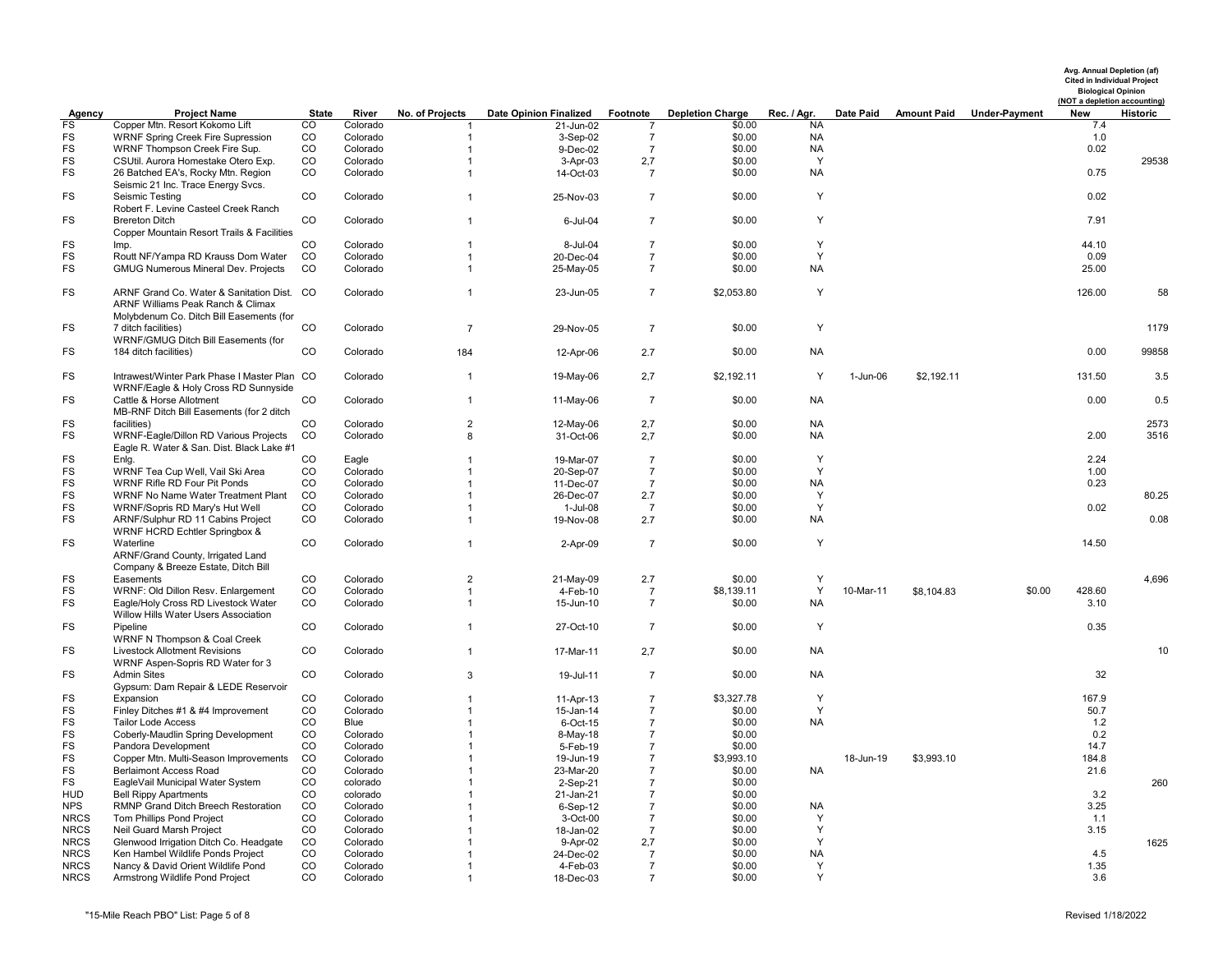|                          |                                                                                                                             |                   |                      |                                  |                               |                                      |                         |                 |           |                    |                      |             | Avg. Annual Depletion (af)<br><b>Cited in Individual Project</b><br><b>Biological Opinion</b><br>(NOT a depletion accounting) |
|--------------------------|-----------------------------------------------------------------------------------------------------------------------------|-------------------|----------------------|----------------------------------|-------------------------------|--------------------------------------|-------------------------|-----------------|-----------|--------------------|----------------------|-------------|-------------------------------------------------------------------------------------------------------------------------------|
| Agency                   | <b>Project Name</b>                                                                                                         | State             | River                | No. of Projects                  | <b>Date Opinion Finalized</b> | Footnote                             | <b>Depletion Charge</b> | Rec. / Agr.     | Date Paid | <b>Amount Paid</b> | <b>Under-Payment</b> | New         | Historic                                                                                                                      |
| FS<br>FS                 | Copper Mtn. Resort Kokomo Lift<br>WRNF Spring Creek Fire Supression                                                         | CO<br>$_{\rm CO}$ | Colorado<br>Colorado |                                  | 21-Jun-02                     |                                      | \$0.00                  | NA<br><b>NA</b> |           |                    |                      | 7.4<br>1.0  |                                                                                                                               |
| FS                       | WRNF Thompson Creek Fire Sup.                                                                                               | CO                | Colorado             | $\overline{1}$<br>$\overline{1}$ | 3-Sep-02<br>9-Dec-02          | $\overline{7}$<br>7                  | \$0.00<br>\$0.00        | <b>NA</b>       |           |                    |                      | 0.02        |                                                                                                                               |
| <b>FS</b>                | CSUtil. Aurora Homestake Otero Exp.                                                                                         | CO                | Colorado             | $\overline{1}$                   | 3-Apr-03                      | 2,7                                  | \$0.00                  | Y               |           |                    |                      |             | 29538                                                                                                                         |
| <b>FS</b>                | 26 Batched EA's, Rocky Mtn. Region                                                                                          | CO                | Colorado             | $\overline{1}$                   | 14-Oct-03                     | 7                                    | \$0.00                  | <b>NA</b>       |           |                    |                      | 0.75        |                                                                                                                               |
|                          | Seismic 21 Inc. Trace Energy Svcs.                                                                                          |                   |                      |                                  |                               |                                      |                         |                 |           |                    |                      |             |                                                                                                                               |
| FS                       | Seismic Testing                                                                                                             | CO                | Colorado             | $\overline{1}$                   | 25-Nov-03                     | $\overline{7}$                       | \$0.00                  | Y               |           |                    |                      | 0.02        |                                                                                                                               |
|                          | Robert F. Levine Casteel Creek Ranch                                                                                        |                   |                      |                                  |                               |                                      |                         |                 |           |                    |                      |             |                                                                                                                               |
| <b>FS</b>                | <b>Brereton Ditch</b>                                                                                                       | <b>CO</b>         | Colorado             | $\overline{1}$                   | 6-Jul-04                      | $\overline{7}$                       | \$0.00                  | Y               |           |                    |                      | 7.91        |                                                                                                                               |
|                          | Copper Mountain Resort Trails & Facilities                                                                                  |                   |                      |                                  |                               |                                      |                         |                 |           |                    |                      |             |                                                                                                                               |
| FS                       | Imp.                                                                                                                        | $_{\rm CO}$       | Colorado             | $\overline{1}$                   | 8-Jul-04                      | $\overline{7}$                       | \$0.00                  | Y               |           |                    |                      | 44.10       |                                                                                                                               |
| FS                       | Routt NF/Yampa RD Krauss Dom Water                                                                                          | CO                | Colorado             | $\mathbf{1}$                     | 20-Dec-04                     | $\overline{7}$                       | \$0.00                  | Y               |           |                    |                      | 0.09        |                                                                                                                               |
| FS                       | <b>GMUG Numerous Mineral Dev. Projects</b>                                                                                  | CO                | Colorado             | $\overline{1}$                   | 25-May-05                     | $\overline{7}$                       | \$0.00                  | <b>NA</b>       |           |                    |                      | 25.00       |                                                                                                                               |
| FS                       | ARNF Grand Co. Water & Sanitation Dist. CO<br>ARNF Williams Peak Ranch & Climax<br>Molybdenum Co. Ditch Bill Easements (for |                   | Colorado             | $\overline{1}$                   | 23-Jun-05                     | $\overline{7}$                       | \$2,053.80              | Y               |           |                    |                      | 126.00      | 58                                                                                                                            |
| FS                       | 7 ditch facilities)                                                                                                         | CO                | Colorado             | $\overline{7}$                   | 29-Nov-05                     | $\overline{7}$                       | \$0.00                  | Y               |           |                    |                      |             | 1179                                                                                                                          |
|                          | WRNF/GMUG Ditch Bill Easements (for                                                                                         |                   |                      |                                  |                               |                                      |                         |                 |           |                    |                      |             |                                                                                                                               |
| <b>FS</b>                | 184 ditch facilities)                                                                                                       | CO                | Colorado             | 184                              | 12-Apr-06                     | 2.7                                  | \$0.00                  | <b>NA</b>       |           |                    |                      | 0.00        | 99858                                                                                                                         |
|                          |                                                                                                                             |                   |                      |                                  |                               |                                      |                         |                 |           |                    |                      |             |                                                                                                                               |
| <b>FS</b>                | Intrawest/Winter Park Phase I Master Plan CO<br>WRNF/Eagle & Holy Cross RD Sunnyside                                        |                   | Colorado             | $\overline{1}$                   | 19-May-06                     | 2,7                                  | \$2,192.11              | Y               | 1-Jun-06  | \$2,192.11         |                      | 131.50      | 3.5                                                                                                                           |
| FS                       | Cattle & Horse Allotment                                                                                                    | CO                | Colorado             | $\overline{1}$                   | 11-May-06                     | $\overline{7}$                       | \$0.00                  | <b>NA</b>       |           |                    |                      | 0.00        | 0.5                                                                                                                           |
|                          | MB-RNF Ditch Bill Easements (for 2 ditch                                                                                    |                   |                      |                                  |                               |                                      |                         |                 |           |                    |                      |             |                                                                                                                               |
| FS                       | facilities)                                                                                                                 | CO                | Colorado             | $\overline{2}$                   | 12-May-06                     | 2,7                                  | \$0.00                  | <b>NA</b>       |           |                    |                      |             | 2573                                                                                                                          |
| FS                       | WRNF-Eagle/Dillon RD Various Projects<br>Eagle R. Water & San. Dist. Black Lake #1                                          | CO                | Colorado             | 8                                | 31-Oct-06                     | 2,7                                  | \$0.00                  | <b>NA</b>       |           |                    |                      | 2.00        | 3516                                                                                                                          |
| FS                       | Enlg.                                                                                                                       | CO                | Eagle                | $\overline{1}$                   | 19-Mar-07                     | $\overline{7}$                       | \$0.00                  | Y               |           |                    |                      | 2.24        |                                                                                                                               |
| <b>FS</b>                | WRNF Tea Cup Well, Vail Ski Area                                                                                            | CO                | Colorado             | $\overline{1}$                   | 20-Sep-07                     | $\boldsymbol{7}$                     | \$0.00                  | Y               |           |                    |                      | 1.00        |                                                                                                                               |
| FS                       | WRNF Rifle RD Four Pit Ponds                                                                                                | CO                | Colorado             | $\overline{1}$                   | 11-Dec-07                     | 7                                    | \$0.00                  | <b>NA</b>       |           |                    |                      | 0.23        |                                                                                                                               |
| <b>FS</b>                | WRNF No Name Water Treatment Plant                                                                                          | CO                | Colorado             | $\overline{1}$                   | 26-Dec-07                     | 2.7                                  | \$0.00                  | Y               |           |                    |                      |             | 80.25                                                                                                                         |
| <b>FS</b><br><b>FS</b>   | WRNF/Sopris RD Mary's Hut Well                                                                                              | <b>CO</b><br>CO   | Colorado             | -1<br>$\overline{1}$             | 1-Jul-08                      | $\overline{7}$                       | \$0.00                  | Y<br><b>NA</b>  |           |                    |                      | 0.02        | 0.08                                                                                                                          |
|                          | ARNF/Sulphur RD 11 Cabins Project<br>WRNF HCRD Echtler Springbox &                                                          |                   | Colorado             |                                  | 19-Nov-08                     | 2.7                                  | \$0.00                  |                 |           |                    |                      |             |                                                                                                                               |
| <b>FS</b>                | Waterline<br>ARNF/Grand County, Irrigated Land<br>Company & Breeze Estate, Ditch Bill                                       | $_{\rm CO}$       | Colorado             | $\overline{1}$                   | 2-Apr-09                      | $\overline{7}$                       | \$0.00                  | Y               |           |                    |                      | 14.50       |                                                                                                                               |
| FS                       | Easements                                                                                                                   | $_{\rm CO}$       | Colorado             | $\overline{2}$                   | 21-May-09                     | 2.7                                  | \$0.00                  | Υ               |           |                    |                      |             | 4,696                                                                                                                         |
| <b>FS</b>                | WRNF: Old Dillon Resv. Enlargement                                                                                          | CO                | Colorado             | $\overline{1}$                   | 4-Feb-10                      | $\overline{7}$                       | \$8,139.11              | Y               | 10-Mar-11 | \$8,104.83         | \$0.00               | 428.60      |                                                                                                                               |
| <b>FS</b>                | Eagle/Holy Cross RD Livestock Water                                                                                         | CO                | Colorado             | $\mathbf{1}$                     | 15-Jun-10                     | $\overline{7}$                       | \$0.00                  | <b>NA</b>       |           |                    |                      | 3.10        |                                                                                                                               |
|                          | Willow Hills Water Users Association                                                                                        |                   |                      |                                  |                               |                                      |                         |                 |           |                    |                      |             |                                                                                                                               |
| FS                       | Pipeline<br>WRNF N Thompson & Coal Creek                                                                                    | $_{\rm CO}$       | Colorado             | $\overline{1}$                   | 27-Oct-10                     | $\overline{7}$                       | \$0.00                  | Y               |           |                    |                      | 0.35        |                                                                                                                               |
| <b>FS</b>                | <b>Livestock Allotment Revisions</b><br>WRNF Aspen-Sopris RD Water for 3                                                    | CO                | Colorado             | $\overline{1}$                   | 17-Mar-11                     | 2,7                                  | \$0.00                  | <b>NA</b>       |           |                    |                      |             | 10                                                                                                                            |
| FS                       | <b>Admin Sites</b><br>Gypsum: Dam Repair & LEDE Reservoir                                                                   | <b>CO</b>         | Colorado             | 3                                | 19-Jul-11                     | $\overline{7}$                       | \$0.00                  | <b>NA</b>       |           |                    |                      | 32          |                                                                                                                               |
| <b>FS</b>                | Expansion                                                                                                                   | $_{\rm CO}$       | Colorado             | $\overline{1}$                   | 11-Apr-13                     | $\overline{7}$                       | \$3,327.78              | Y               |           |                    |                      | 167.9       |                                                                                                                               |
| <b>FS</b>                | Finley Ditches #1 & #4 Improvement                                                                                          | CO                | Colorado             | $\overline{1}$                   | 15-Jan-14                     | $\overline{7}$                       | \$0.00                  | Y               |           |                    |                      | 50.7        |                                                                                                                               |
| <b>FS</b>                | <b>Tailor Lode Access</b>                                                                                                   | CO                | Blue                 | $\overline{1}$                   | 6-Oct-15                      | $\overline{7}$                       | \$0.00                  | <b>NA</b>       |           |                    |                      | 1.2         |                                                                                                                               |
| FS                       | Coberly-Maudlin Spring Development                                                                                          | $_{\rm CO}$       | Colorado             | $\mathbf 1$                      | 8-May-18                      | $\overline{7}$                       | \$0.00                  |                 |           |                    |                      | 0.2         |                                                                                                                               |
| <b>FS</b>                | Pandora Development                                                                                                         | CO                | Colorado             | $\mathbf 1$                      | 5-Feb-19                      | $\overline{7}$                       | \$0.00                  |                 |           |                    |                      | 14.7        |                                                                                                                               |
| FS                       | Copper Mtn. Multi-Season Improvements                                                                                       | CO                | Colorado             | $\mathbf{1}$                     | 19-Jun-19                     | $\overline{7}$                       | \$3,993.10              |                 | 18-Jun-19 | \$3,993.10         |                      | 184.8       |                                                                                                                               |
| <b>FS</b>                | <b>Berlaimont Access Road</b>                                                                                               | CO                | Colorado             | $\mathbf 1$                      | 23-Mar-20                     | 7                                    | \$0.00                  | <b>NA</b>       |           |                    |                      | 21.6        |                                                                                                                               |
| FS                       | EagleVail Municipal Water System                                                                                            | CO                | colorado             | -1                               | 2-Sep-21                      | $\overline{7}$                       | \$0.00                  |                 |           |                    |                      |             | 260                                                                                                                           |
| <b>HUD</b><br><b>NPS</b> | <b>Bell Rippy Apartments</b>                                                                                                | CO<br>CO          | colorado             | -1                               | 21-Jan-21                     | 7                                    | \$0.00                  |                 |           |                    |                      | 3.2         |                                                                                                                               |
| <b>NRCS</b>              | RMNP Grand Ditch Breech Restoration                                                                                         | CO                | Colorado<br>Colorado | $\overline{1}$<br>-1             | 6-Sep-12<br>3-Oct-00          | $\boldsymbol{7}$<br>$\boldsymbol{7}$ | \$0.00<br>\$0.00        | <b>NA</b><br>Y  |           |                    |                      | 3.25<br>1.1 |                                                                                                                               |
| <b>NRCS</b>              | Tom Phillips Pond Project<br>Neil Guard Marsh Project                                                                       | CO                | Colorado             | $\overline{1}$                   | 18-Jan-02                     | $\overline{7}$                       | \$0.00                  | Y               |           |                    |                      | 3.15        |                                                                                                                               |
| <b>NRCS</b>              | Glenwood Irrigation Ditch Co. Headgate                                                                                      | CO                | Colorado             |                                  | 9-Apr-02                      | 2,7                                  | \$0.00                  | Y               |           |                    |                      |             | 1625                                                                                                                          |
| <b>NRCS</b>              | Ken Hambel Wildlife Ponds Project                                                                                           | CO                | Colorado             |                                  | 24-Dec-02                     | 7                                    | \$0.00                  | <b>NA</b>       |           |                    |                      | 4.5         |                                                                                                                               |
| <b>NRCS</b>              | Nancy & David Orient Wildlife Pond                                                                                          | CO                | Colorado             | $\mathbf 1$                      | 4-Feb-03                      | $\overline{7}$                       | \$0.00                  | Y               |           |                    |                      | 1.35        |                                                                                                                               |
| <b>NRCS</b>              | Armstrong Wildlife Pond Project                                                                                             | CO                | Colorado             | $\overline{1}$                   | 18-Dec-03                     | $\overline{7}$                       | \$0.00                  | Y               |           |                    |                      | 3.6         |                                                                                                                               |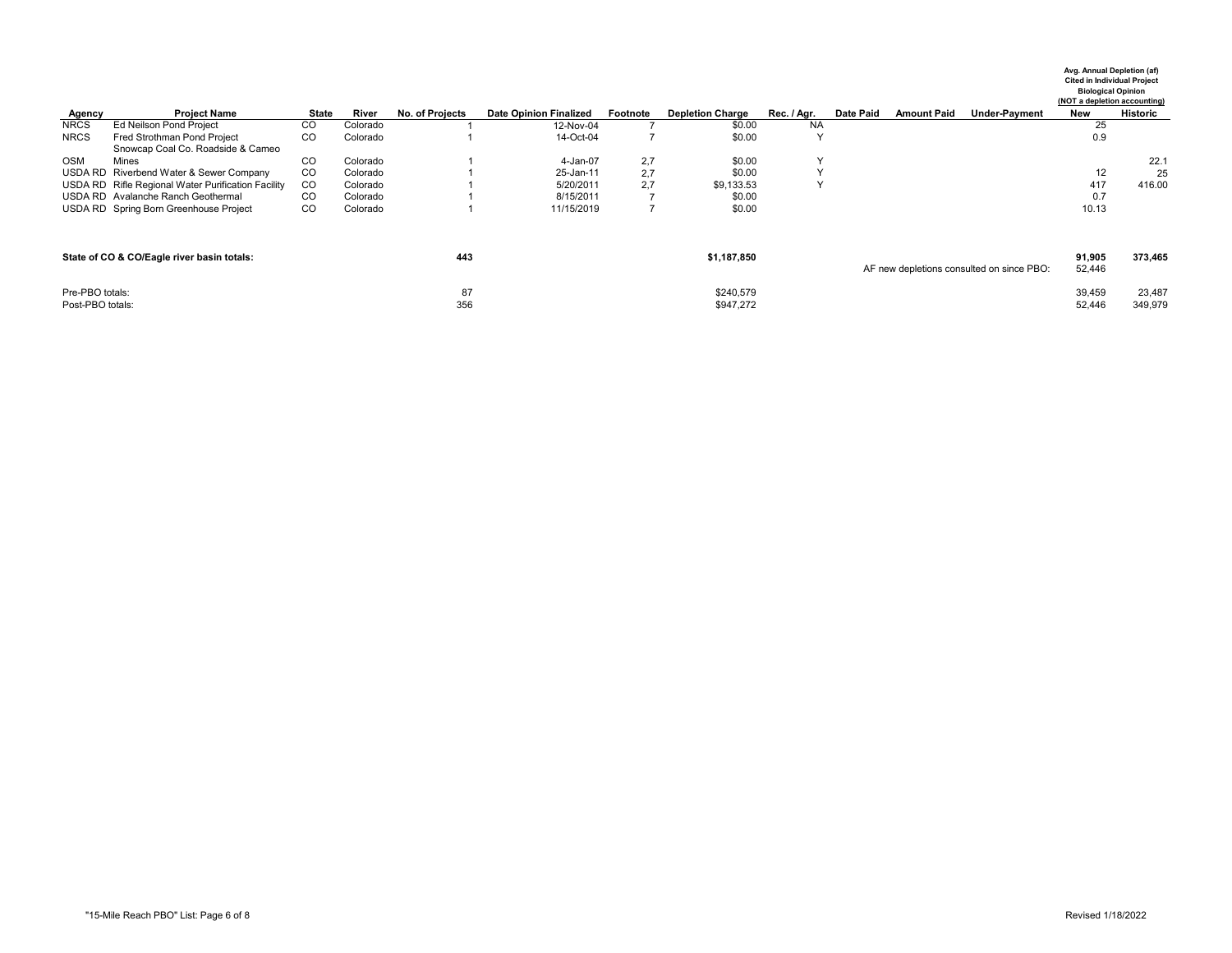|                  |                                                    |                 |          |                 |                               |          |                         |              |           |                    |                                           | Avg. Annual Depletion (af)<br><b>Cited in Individual Project</b><br>(NOT a depletion accounting) | <b>Biological Opinion</b> |
|------------------|----------------------------------------------------|-----------------|----------|-----------------|-------------------------------|----------|-------------------------|--------------|-----------|--------------------|-------------------------------------------|--------------------------------------------------------------------------------------------------|---------------------------|
| Agency           | <b>Project Name</b>                                | <b>State</b>    | River    | No. of Projects | <b>Date Opinion Finalized</b> | Footnote | <b>Depletion Charge</b> | Rec. / Agr.  | Date Paid | <b>Amount Paid</b> | <b>Under-Payment</b>                      | <b>New</b>                                                                                       | Historic                  |
| <b>NRCS</b>      | <b>Ed Neilson Pond Project</b>                     | CO              | Colorado |                 | 12-Nov-04                     |          | \$0.00                  | <b>NA</b>    |           |                    |                                           | 25                                                                                               |                           |
| <b>NRCS</b>      | Fred Strothman Pond Project                        | CO <sub>1</sub> | Colorado |                 | 14-Oct-04                     |          | \$0.00                  |              |           |                    |                                           | 0.9                                                                                              |                           |
|                  | Snowcap Coal Co. Roadside & Cameo                  |                 |          |                 |                               |          |                         |              |           |                    |                                           |                                                                                                  |                           |
| <b>OSM</b>       | Mines                                              | <sub>CO</sub>   | Colorado |                 | 4-Jan-07                      | 2,7      | \$0.00                  | $\checkmark$ |           |                    |                                           |                                                                                                  | 22.1                      |
|                  | USDA RD Riverbend Water & Sewer Company            | CO              | Colorado |                 | 25-Jan-11                     | 2,7      | \$0.00                  |              |           |                    |                                           | 12                                                                                               | 25                        |
|                  | USDA RD Rifle Regional Water Purification Facility | CO.             | Colorado |                 | 5/20/2011                     | 2,7      | \$9,133.53              |              |           |                    |                                           | 417                                                                                              | 416.00                    |
|                  | USDA RD Avalanche Ranch Geothermal                 | CO <sub>1</sub> | Colorado |                 | 8/15/2011                     |          | \$0.00                  |              |           |                    |                                           | 0.7                                                                                              |                           |
|                  | USDA RD Spring Born Greenhouse Project             | CO              | Colorado |                 | 11/15/2019                    |          | \$0.00                  |              |           |                    |                                           | 10.13                                                                                            |                           |
|                  | State of CO & CO/Eagle river basin totals:         |                 |          | 443             |                               |          | \$1,187,850             |              |           |                    |                                           | 91,905                                                                                           | 373,465                   |
| Pre-PBO totals:  |                                                    |                 |          | 87              |                               |          | \$240,579               |              |           |                    | AF new depletions consulted on since PBO: | 52,446<br>39,459                                                                                 | 23,487                    |
| Post-PBO totals: |                                                    |                 |          | 356             |                               |          | \$947,272               |              |           |                    |                                           | 52,446                                                                                           | 349,979                   |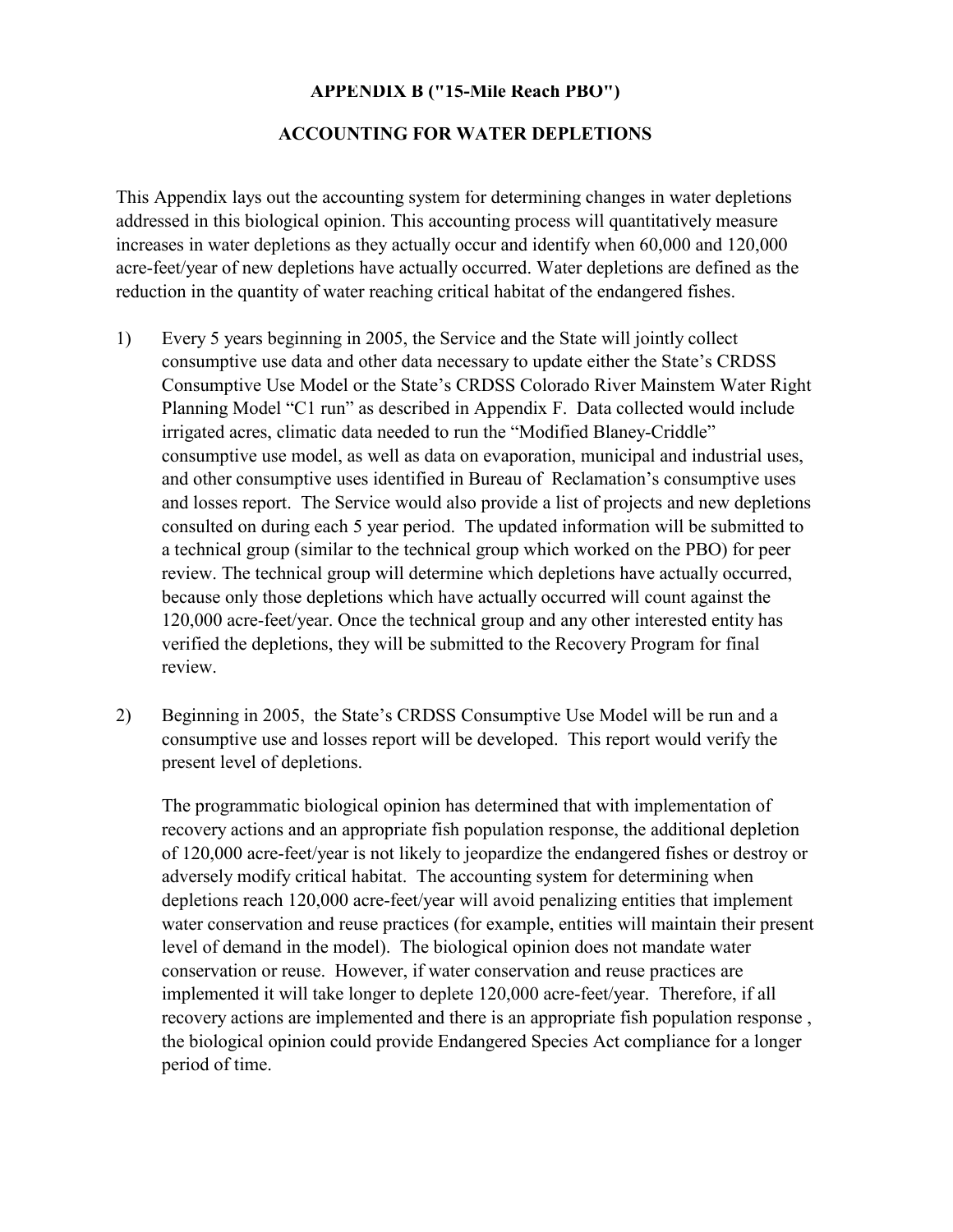## **APPENDIX B ("15-Mile Reach PBO")**

### **ACCOUNTING FOR WATER DEPLETIONS**

This Appendix lays out the accounting system for determining changes in water depletions addressed in this biological opinion. This accounting process will quantitatively measure increases in water depletions as they actually occur and identify when 60,000 and 120,000 acre-feet/year of new depletions have actually occurred. Water depletions are defined as the reduction in the quantity of water reaching critical habitat of the endangered fishes.

- 1) Every 5 years beginning in 2005, the Service and the State will jointly collect consumptive use data and other data necessary to update either the State's CRDSS Consumptive Use Model or the State's CRDSS Colorado River Mainstem Water Right Planning Model "C1 run" as described in Appendix F. Data collected would include irrigated acres, climatic data needed to run the "Modified Blaney-Criddle" consumptive use model, as well as data on evaporation, municipal and industrial uses, and other consumptive uses identified in Bureau of Reclamation's consumptive uses and losses report. The Service would also provide a list of projects and new depletions consulted on during each 5 year period. The updated information will be submitted to a technical group (similar to the technical group which worked on the PBO) for peer review. The technical group will determine which depletions have actually occurred, because only those depletions which have actually occurred will count against the 120,000 acre-feet/year. Once the technical group and any other interested entity has verified the depletions, they will be submitted to the Recovery Program for final review.
- 2) Beginning in 2005, the State's CRDSS Consumptive Use Model will be run and a consumptive use and losses report will be developed. This report would verify the present level of depletions.

The programmatic biological opinion has determined that with implementation of recovery actions and an appropriate fish population response, the additional depletion of 120,000 acre-feet/year is not likely to jeopardize the endangered fishes or destroy or adversely modify critical habitat. The accounting system for determining when depletions reach 120,000 acre-feet/year will avoid penalizing entities that implement water conservation and reuse practices (for example, entities will maintain their present level of demand in the model). The biological opinion does not mandate water conservation or reuse. However, if water conservation and reuse practices are implemented it will take longer to deplete 120,000 acre-feet/year. Therefore, if all recovery actions are implemented and there is an appropriate fish population response , the biological opinion could provide Endangered Species Act compliance for a longer period of time.